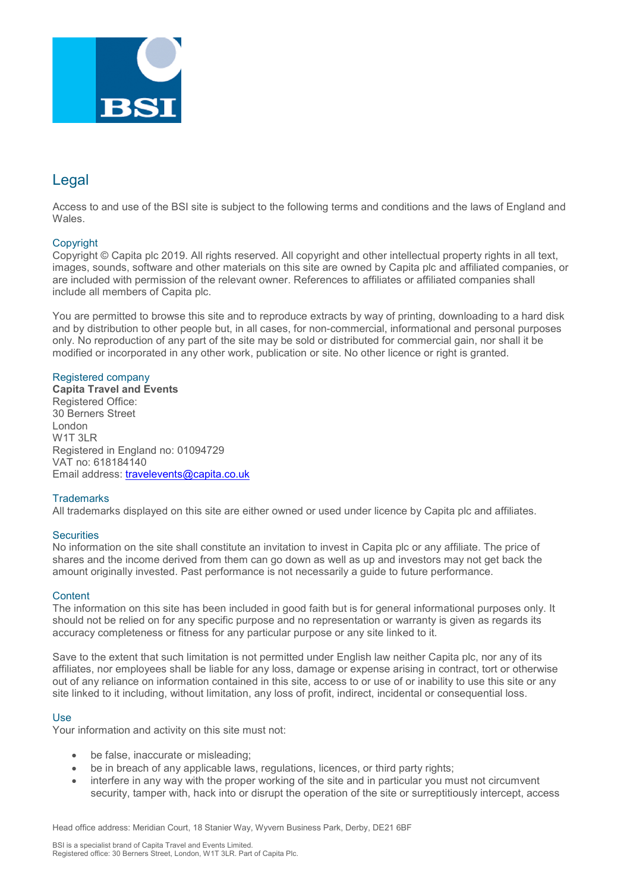

# Legal

Access to and use of the BSI site is subject to the following terms and conditions and the laws of England and Wales.

# **Copyright**

Copyright © Capita plc 2019. All rights reserved. All copyright and other intellectual property rights in all text, images, sounds, software and other materials on this site are owned by Capita plc and affiliated companies, or are included with permission of the relevant owner. References to affiliates or affiliated companies shall include all members of Capita plc.

You are permitted to browse this site and to reproduce extracts by way of printing, downloading to a hard disk and by distribution to other people but, in all cases, for non-commercial, informational and personal purposes only. No reproduction of any part of the site may be sold or distributed for commercial gain, nor shall it be modified or incorporated in any other work, publication or site. No other licence or right is granted.

# Registered company

**Capita Travel and Events** Registered Office: 30 Berners Street London W<sub>1</sub>T<sub>3LR</sub> Registered in England no: 01094729 VAT no: 618184140 Email address: [travelevents@capita.co.uk](mailto:travelevents@capita.co.uk)

# **Trademarks**

All trademarks displayed on this site are either owned or used under licence by Capita plc and affiliates.

# **Securities**

No information on the site shall constitute an invitation to invest in Capita plc or any affiliate. The price of shares and the income derived from them can go down as well as up and investors may not get back the amount originally invested. Past performance is not necessarily a guide to future performance.

### **Content**

The information on this site has been included in good faith but is for general informational purposes only. It should not be relied on for any specific purpose and no representation or warranty is given as regards its accuracy completeness or fitness for any particular purpose or any site linked to it.

Save to the extent that such limitation is not permitted under English law neither Capita plc, nor any of its affiliates, nor employees shall be liable for any loss, damage or expense arising in contract, tort or otherwise out of any reliance on information contained in this site, access to or use of or inability to use this site or any site linked to it including, without limitation, any loss of profit, indirect, incidental or consequential loss.

# Use

Your information and activity on this site must not:

- be false, inaccurate or misleading;
- be in breach of any applicable laws, regulations, licences, or third party rights;
- interfere in any way with the proper working of the site and in particular you must not circumvent security, tamper with, hack into or disrupt the operation of the site or surreptitiously intercept, access

Head office address: Meridian Court, 18 Stanier Way, Wyvern Business Park, Derby, DE21 6BF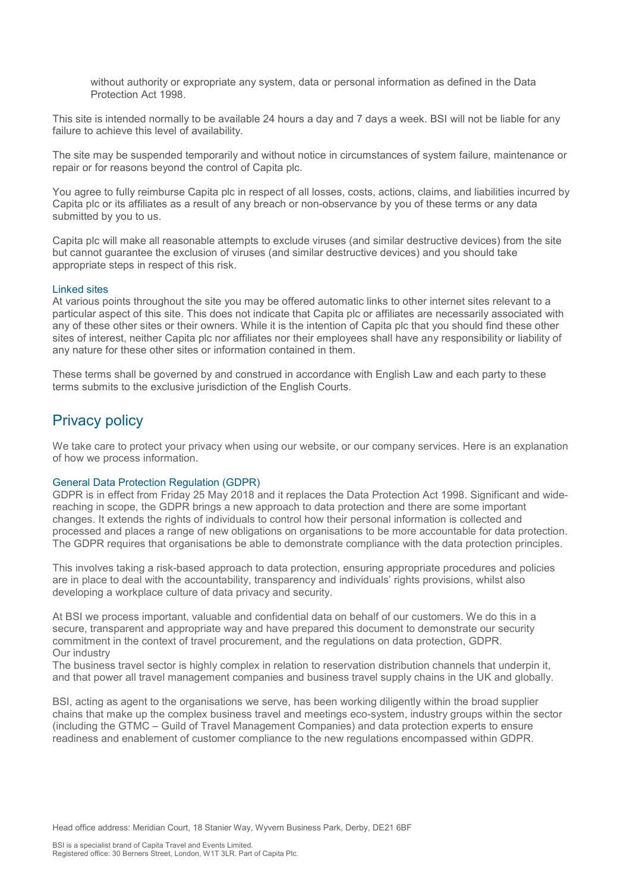without authority or expropriate any system, data or personal information as defined in the Data Protection Act 1998.

This site is intended normally to be available 24 hours a day and 7 days a week. BSI will not be liable for any failure to achieve this level of availability.

The site may be suspended temporarily and without notice in circumstances of system failure, maintenance or repair or for reasons beyond the control of Capita plc.

You agree to fully reimburse Capita plc in respect of all losses, costs, actions, claims, and liabilities incurred by Capita plc or its affiliates as a result of any breach or non-observance by you of these terms or any data submitted by you to us.

Capita plc will make all reasonable attempts to exclude viruses (and similar destructive devices) from the site but cannot guarantee the exclusion of viruses (and similar destructive devices) and you should take appropriate steps in respect of this risk.

#### Linked sites

At various points throughout the site you may be offered automatic links to other internet sites relevant to a particular aspect of this site. This does not indicate that Capita plc or affiliates are necessarily associated with any of these other sites or their owners. While it is the intention of Capita plc that you should find these other sites of interest, neither Capita plc nor affiliates nor their employees shall have any responsibility or liability of any nature for these other sites or information contained in them.

These terms shall be governed by and construed in accordance with English Law and each party to these terms submits to the exclusive jurisdiction of the English Courts.

# Privacy policy

We take care to protect your privacy when using our website, or our company services. Here is an explanation of how we process information.

## General Data Protection Regulation (GDPR)

GDPR is in effect from Friday 25 May 2018 and it replaces the Data Protection Act 1998. Significant and widereaching in scope, the GDPR brings a new approach to data protection and there are some important changes. It extends the rights of individuals to control how their personal information is collected and processed and places a range of new obligations on organisations to be more accountable for data protection. The GDPR requires that organisations be able to demonstrate compliance with the data protection principles.

This involves taking a risk-based approach to data protection, ensuring appropriate procedures and policies are in place to deal with the accountability, transparency and individuals' rights provisions, whilst also developing a workplace culture of data privacy and security.

At BSI we process important, valuable and confidential data on behalf of our customers. We do this in a secure, transparent and appropriate way and have prepared this document to demonstrate our security commitment in the context of travel procurement, and the regulations on data protection, GDPR. Our industry

The business travel sector is highly complex in relation to reservation distribution channels that underpin it, and that power all travel management companies and business travel supply chains in the UK and globally.

BSI, acting as agent to the organisations we serve, has been working diligently within the broad supplier chains that make up the complex business travel and meetings eco-system, industry groups within the sector (including the GTMC – Guild of Travel Management Companies) and data protection experts to ensure readiness and enablement of customer compliance to the new regulations encompassed within GDPR.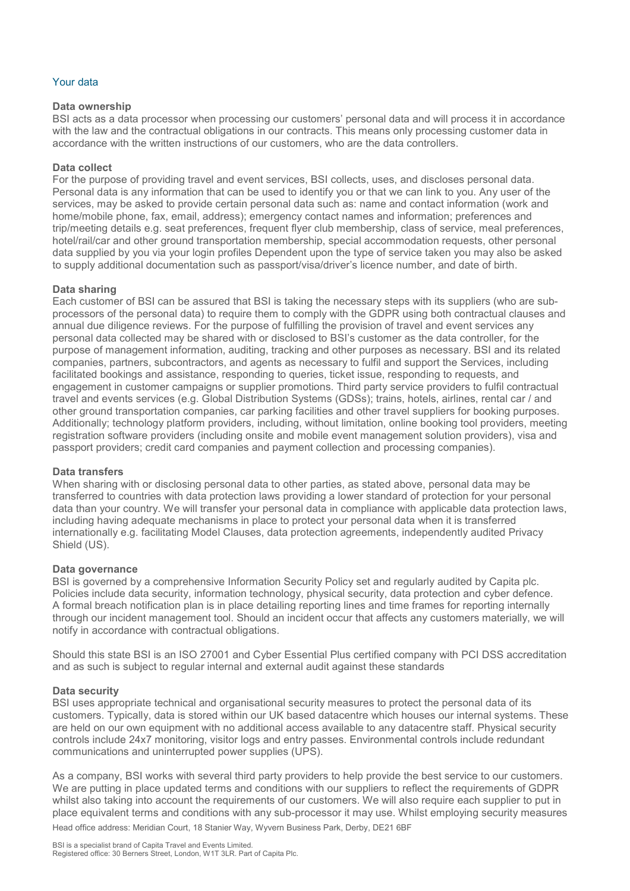# Your data

## **Data ownership**

BSI acts as a data processor when processing our customers' personal data and will process it in accordance with the law and the contractual obligations in our contracts. This means only processing customer data in accordance with the written instructions of our customers, who are the data controllers.

# **Data collect**

For the purpose of providing travel and event services, BSI collects, uses, and discloses personal data. Personal data is any information that can be used to identify you or that we can link to you. Any user of the services, may be asked to provide certain personal data such as: name and contact information (work and home/mobile phone, fax, email, address); emergency contact names and information; preferences and trip/meeting details e.g. seat preferences, frequent flyer club membership, class of service, meal preferences, hotel/rail/car and other ground transportation membership, special accommodation requests, other personal data supplied by you via your login profiles Dependent upon the type of service taken you may also be asked to supply additional documentation such as passport/visa/driver's licence number, and date of birth.

## **Data sharing**

Each customer of BSI can be assured that BSI is taking the necessary steps with its suppliers (who are subprocessors of the personal data) to require them to comply with the GDPR using both contractual clauses and annual due diligence reviews. For the purpose of fulfilling the provision of travel and event services any personal data collected may be shared with or disclosed to BSI's customer as the data controller, for the purpose of management information, auditing, tracking and other purposes as necessary. BSI and its related companies, partners, subcontractors, and agents as necessary to fulfil and support the Services, including facilitated bookings and assistance, responding to queries, ticket issue, responding to requests, and engagement in customer campaigns or supplier promotions. Third party service providers to fulfil contractual travel and events services (e.g. Global Distribution Systems (GDSs); trains, hotels, airlines, rental car / and other ground transportation companies, car parking facilities and other travel suppliers for booking purposes. Additionally; technology platform providers, including, without limitation, online booking tool providers, meeting registration software providers (including onsite and mobile event management solution providers), visa and passport providers; credit card companies and payment collection and processing companies).

### **Data transfers**

When sharing with or disclosing personal data to other parties, as stated above, personal data may be transferred to countries with data protection laws providing a lower standard of protection for your personal data than your country. We will transfer your personal data in compliance with applicable data protection laws, including having adequate mechanisms in place to protect your personal data when it is transferred internationally e.g. facilitating Model Clauses, data protection agreements, independently audited Privacy Shield (US).

### **Data governance**

BSI is governed by a comprehensive Information Security Policy set and regularly audited by Capita plc. Policies include data security, information technology, physical security, data protection and cyber defence. A formal breach notification plan is in place detailing reporting lines and time frames for reporting internally through our incident management tool. Should an incident occur that affects any customers materially, we will notify in accordance with contractual obligations.

Should this state BSI is an ISO 27001 and Cyber Essential Plus certified company with PCI DSS accreditation and as such is subject to regular internal and external audit against these standards

### **Data security**

BSI uses appropriate technical and organisational security measures to protect the personal data of its customers. Typically, data is stored within our UK based datacentre which houses our internal systems. These are held on our own equipment with no additional access available to any datacentre staff. Physical security controls include 24x7 monitoring, visitor logs and entry passes. Environmental controls include redundant communications and uninterrupted power supplies (UPS).

Head office address: Meridian Court, 18 Stanier Way, Wyvern Business Park, Derby, DE21 6BF As a company, BSI works with several third party providers to help provide the best service to our customers. We are putting in place updated terms and conditions with our suppliers to reflect the requirements of GDPR whilst also taking into account the requirements of our customers. We will also require each supplier to put in place equivalent terms and conditions with any sub-processor it may use. Whilst employing security measures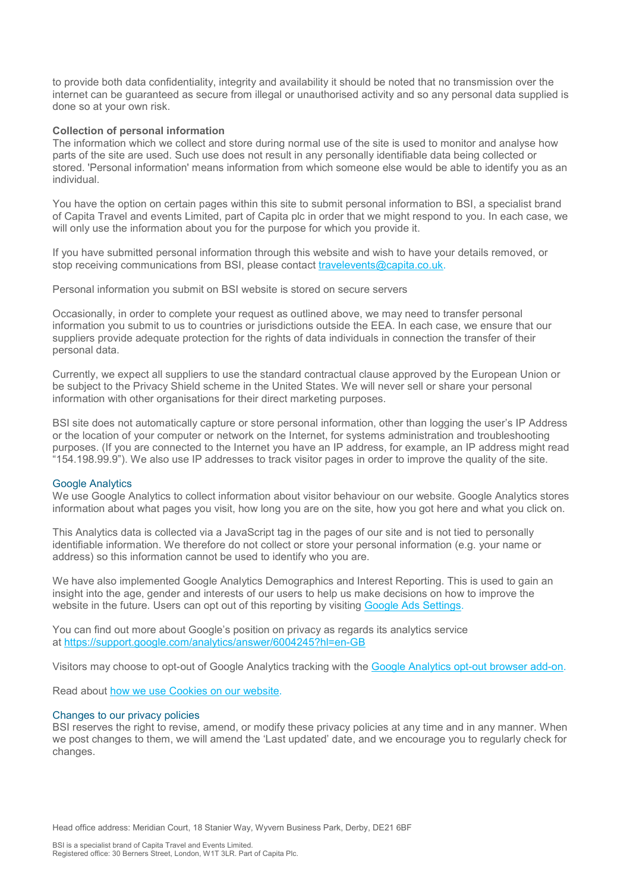to provide both data confidentiality, integrity and availability it should be noted that no transmission over the internet can be guaranteed as secure from illegal or unauthorised activity and so any personal data supplied is done so at your own risk.

## **Collection of personal information**

The information which we collect and store during normal use of the site is used to monitor and analyse how parts of the site are used. Such use does not result in any personally identifiable data being collected or stored. 'Personal information' means information from which someone else would be able to identify you as an individual.

You have the option on certain pages within this site to submit personal information to BSI, a specialist brand of Capita Travel and events Limited, part of Capita plc in order that we might respond to you. In each case, we will only use the information about you for the purpose for which you provide it.

If you have submitted personal information through this website and wish to have your details removed, or stop receiving communications from BSI, please contact [travelevents@capita.co.uk.](mailto:travelevents@capita.co.uk)

Personal information you submit on BSI website is stored on secure servers

Occasionally, in order to complete your request as outlined above, we may need to transfer personal information you submit to us to countries or jurisdictions outside the EEA. In each case, we ensure that our suppliers provide adequate protection for the rights of data individuals in connection the transfer of their personal data.

Currently, we expect all suppliers to use the standard contractual clause approved by the European Union or be subject to the Privacy Shield scheme in the United States. We will never sell or share your personal information with other organisations for their direct marketing purposes.

BSI site does not automatically capture or store personal information, other than logging the user's IP Address or the location of your computer or network on the Internet, for systems administration and troubleshooting purposes. (If you are connected to the Internet you have an IP address, for example, an IP address might read "154.198.99.9"). We also use IP addresses to track visitor pages in order to improve the quality of the site.

### Google Analytics

We use Google Analytics to collect information about visitor behaviour on our website. Google Analytics stores information about what pages you visit, how long you are on the site, how you got here and what you click on.

This Analytics data is collected via a JavaScript tag in the pages of our site and is not tied to personally identifiable information. We therefore do not collect or store your personal information (e.g. your name or address) so this information cannot be used to identify who you are.

We have also implemented Google Analytics Demographics and Interest Reporting. This is used to gain an insight into the age, gender and interests of our users to help us make decisions on how to improve the website in the future. Users can opt out of this reporting by visiting Google Ads [Settings.](http://www.google.com/settings/ads)

You can find out more about Google's position on privacy as regards its analytics service at <https://support.google.com/analytics/answer/6004245?hl=en-GB>

Visitors may choose to opt-out of Google Analytics tracking with the Google [Analytics](https://tools.google.com/dlpage/gaoptout/) opt-out browser add-on.

Read about how we use [Cookies](https://www.capitatravelevents.co.uk/cookies/) on our website.

### Changes to our privacy policies

BSI reserves the right to revise, amend, or modify these privacy policies at any time and in any manner. When we post changes to them, we will amend the 'Last updated' date, and we encourage you to regularly check for changes.